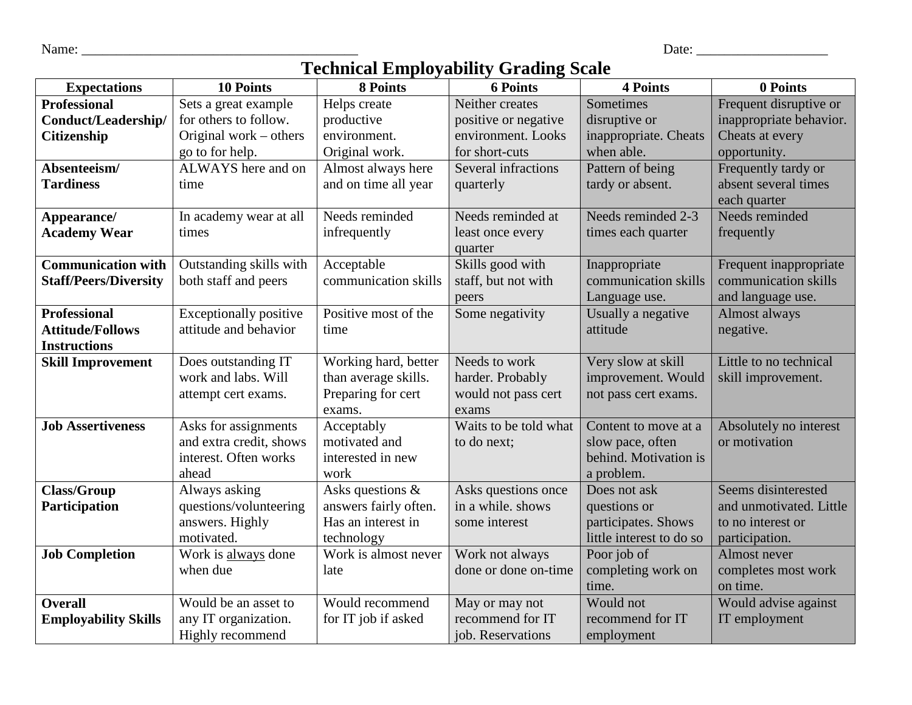Name: \_\_\_\_\_\_\_\_\_\_\_\_\_\_\_\_\_\_\_\_\_\_\_\_\_\_\_\_\_\_\_\_\_\_\_\_\_\_\_\_ Date: \_\_\_\_\_\_\_\_\_\_\_\_\_\_\_\_\_\_\_

| Date |  |
|------|--|
|      |  |

## **Technical Employability Grading Scale**

| <b>Expectations</b>          | <b>10 Points</b>              | 8 Points              | recunical Linproyability Grading Deale<br><b>6 Points</b> | <b>4 Points</b>          | 0 Points                |
|------------------------------|-------------------------------|-----------------------|-----------------------------------------------------------|--------------------------|-------------------------|
| <b>Professional</b>          | Sets a great example          | Helps create          | Neither creates                                           | Sometimes                | Frequent disruptive or  |
| <b>Conduct/Leadership/</b>   | for others to follow.         | productive            | positive or negative                                      | disruptive or            | inappropriate behavior. |
|                              | Original work $-$ others      | environment.          | environment. Looks                                        | inappropriate. Cheats    | Cheats at every         |
| <b>Citizenship</b>           |                               |                       |                                                           |                          |                         |
|                              | go to for help.               | Original work.        | for short-cuts                                            | when able.               | opportunity.            |
| Absenteeism/                 | ALWAYS here and on            | Almost always here    | <b>Several infractions</b>                                | Pattern of being         | Frequently tardy or     |
| <b>Tardiness</b>             | time                          | and on time all year  | quarterly                                                 | tardy or absent.         | absent several times    |
|                              |                               |                       |                                                           |                          | each quarter            |
| Appearance/                  | In academy wear at all        | Needs reminded        | Needs reminded at                                         | Needs reminded 2-3       | Needs reminded          |
| <b>Academy Wear</b>          | times                         | infrequently          | least once every                                          | times each quarter       | frequently              |
|                              |                               |                       | quarter                                                   |                          |                         |
| <b>Communication with</b>    | Outstanding skills with       | Acceptable            | Skills good with                                          | Inappropriate            | Frequent inappropriate  |
| <b>Staff/Peers/Diversity</b> | both staff and peers          | communication skills  | staff, but not with                                       | communication skills     | communication skills    |
|                              |                               |                       | peers                                                     | Language use.            | and language use.       |
| <b>Professional</b>          | <b>Exceptionally positive</b> | Positive most of the  | Some negativity                                           | Usually a negative       | Almost always           |
| <b>Attitude/Follows</b>      | attitude and behavior         | time                  |                                                           | attitude                 | negative.               |
| <b>Instructions</b>          |                               |                       |                                                           |                          |                         |
| <b>Skill Improvement</b>     | Does outstanding IT           | Working hard, better  | Needs to work                                             | Very slow at skill       | Little to no technical  |
|                              | work and labs. Will           | than average skills.  | harder. Probably                                          | improvement. Would       | skill improvement.      |
|                              | attempt cert exams.           | Preparing for cert    | would not pass cert                                       | not pass cert exams.     |                         |
|                              |                               | exams.                | exams                                                     |                          |                         |
| <b>Job Assertiveness</b>     | Asks for assignments          | Acceptably            | Waits to be told what                                     | Content to move at a     | Absolutely no interest  |
|                              | and extra credit, shows       | motivated and         | to do next;                                               | slow pace, often         | or motivation           |
|                              | interest. Often works         | interested in new     |                                                           | behind. Motivation is    |                         |
|                              | ahead                         | work                  |                                                           | a problem.               |                         |
| <b>Class/Group</b>           | Always asking                 | Asks questions &      | Asks questions once                                       | Does not ask             | Seems disinterested     |
| Participation                | questions/volunteering        | answers fairly often. | in a while. shows                                         | questions or             | and unmotivated. Little |
|                              | answers. Highly               | Has an interest in    | some interest                                             | participates. Shows      | to no interest or       |
|                              | motivated.                    | technology            |                                                           | little interest to do so | participation.          |
| <b>Job Completion</b>        | Work is always done           | Work is almost never  | Work not always                                           | Poor job of              | Almost never            |
|                              | when due                      | late                  | done or done on-time                                      | completing work on       | completes most work     |
|                              |                               |                       |                                                           | time.                    | on time.                |
| <b>Overall</b>               | Would be an asset to          | Would recommend       | May or may not                                            | Would not                | Would advise against    |
| <b>Employability Skills</b>  | any IT organization.          | for IT job if asked   | recommend for IT                                          | recommend for IT         | IT employment           |
|                              | Highly recommend              |                       | job. Reservations                                         | employment               |                         |